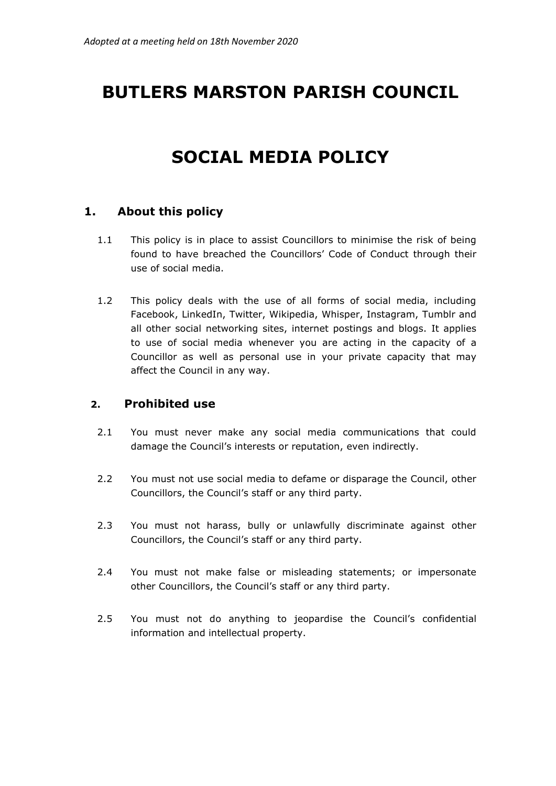# **BUTLERS MARSTON PARISH COUNCIL**

## **SOCIAL MEDIA POLICY**

#### **1. About this policy**

- 1.1 This policy is in place to assist Councillors to minimise the risk of being found to have breached the Councillors' Code of Conduct through their use of social media.
- 1.2 This policy deals with the use of all forms of social media, including Facebook, LinkedIn, Twitter, Wikipedia, Whisper, Instagram, Tumblr and all other social networking sites, internet postings and blogs. It applies to use of social media whenever you are acting in the capacity of a Councillor as well as personal use in your private capacity that may affect the Council in any way.

#### **2. Prohibited use**

- 2.1 You must never make any social media communications that could damage the Council's interests or reputation, even indirectly.
- 2.2 You must not use social media to defame or disparage the Council, other Councillors, the Council's staff or any third party.
- 2.3 You must not harass, bully or unlawfully discriminate against other Councillors, the Council's staff or any third party.
- 2.4 You must not make false or misleading statements; or impersonate other Councillors, the Council's staff or any third party.
- 2.5 You must not do anything to jeopardise the Council's confidential information and intellectual property.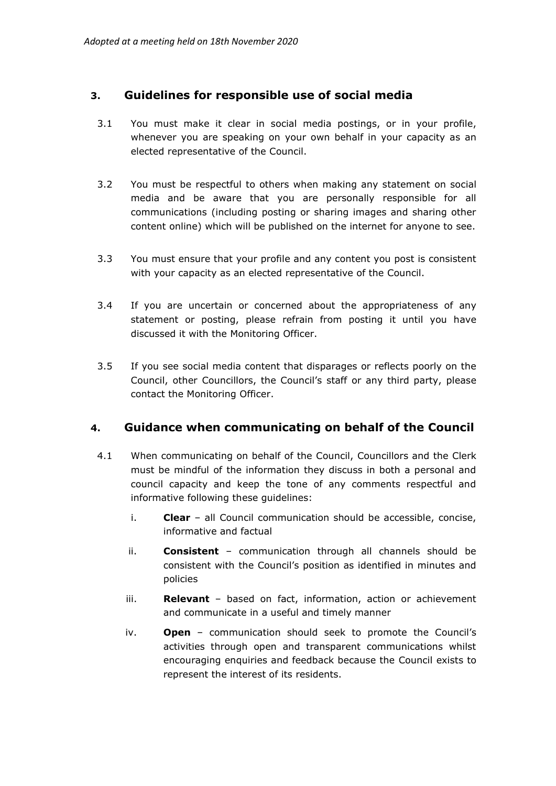#### **3. Guidelines for responsible use of social media**

- 3.1 You must make it clear in social media postings, or in your profile, whenever you are speaking on your own behalf in your capacity as an elected representative of the Council.
- 3.2 You must be respectful to others when making any statement on social media and be aware that you are personally responsible for all communications (including posting or sharing images and sharing other content online) which will be published on the internet for anyone to see.
- 3.3 You must ensure that your profile and any content you post is consistent with your capacity as an elected representative of the Council.
- 3.4 If you are uncertain or concerned about the appropriateness of any statement or posting, please refrain from posting it until you have discussed it with the Monitoring Officer.
- 3.5 If you see social media content that disparages or reflects poorly on the Council, other Councillors, the Council's staff or any third party, please contact the Monitoring Officer.

#### **4. Guidance when communicating on behalf of the Council**

- 4.1 When communicating on behalf of the Council, Councillors and the Clerk must be mindful of the information they discuss in both a personal and council capacity and keep the tone of any comments respectful and informative following these guidelines:
	- i. **Clear** all Council communication should be accessible, concise, informative and factual
	- ii. **Consistent** communication through all channels should be consistent with the Council's position as identified in minutes and policies
	- iii. **Relevant** based on fact, information, action or achievement and communicate in a useful and timely manner
	- iv. **Open** communication should seek to promote the Council's activities through open and transparent communications whilst encouraging enquiries and feedback because the Council exists to represent the interest of its residents.